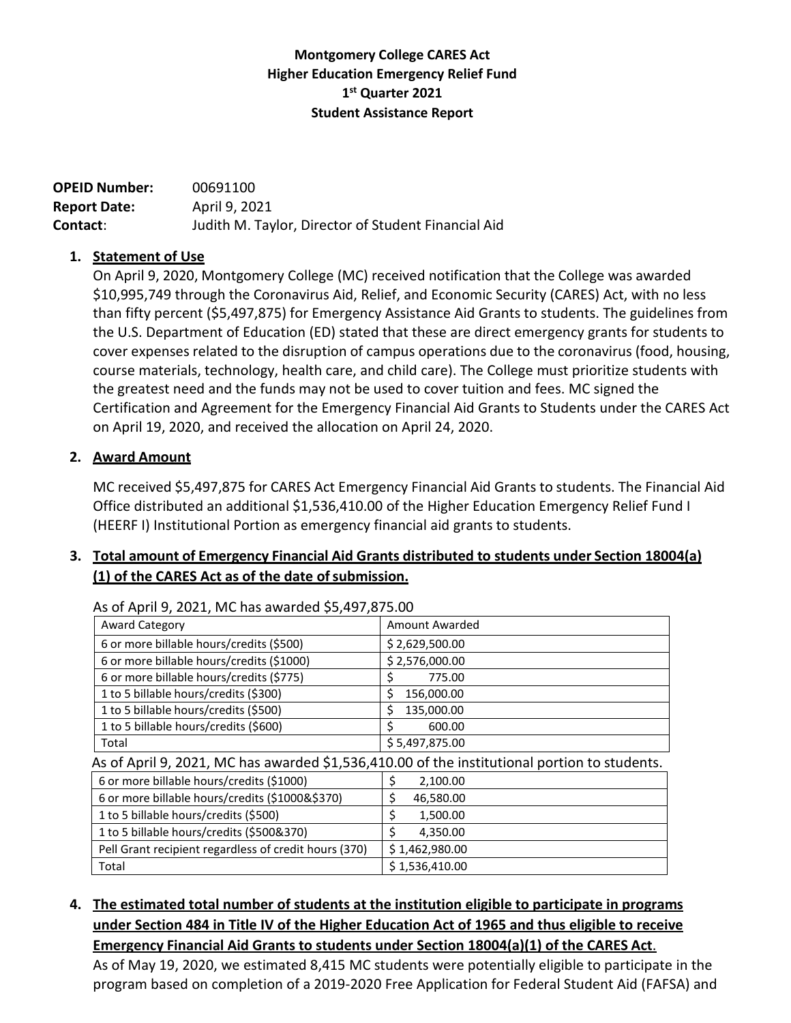## **Montgomery College CARES Act Higher Education Emergency Relief Fund 1st Quarter 2021 Student Assistance Report**

| <b>OPEID Number:</b> | 00691100                                            |
|----------------------|-----------------------------------------------------|
| <b>Report Date:</b>  | April 9, 2021                                       |
| Contact:             | Judith M. Taylor, Director of Student Financial Aid |

#### **1. Statement of Use**

On April 9, 2020, Montgomery College (MC) received notification that the College was awarded \$10,995,749 through the Coronavirus Aid, Relief, and Economic Security (CARES) Act, with no less than fifty percent (\$5,497,875) for Emergency Assistance Aid Grants to students. The guidelines from the U.S. Department of Education (ED) stated that these are direct emergency grants for students to cover expenses related to the disruption of campus operations due to the coronavirus (food, housing, course materials, technology, health care, and child care). The College must prioritize students with the greatest need and the funds may not be used to cover tuition and fees. MC signed the Certification and Agreement for the Emergency Financial Aid Grants to Students under the CARES Act on April 19, 2020, and received the allocation on April 24, 2020.

## **2. Award Amount**

MC received \$5,497,875 for CARES Act Emergency Financial Aid Grants to students. The Financial Aid Office distributed an additional \$1,536,410.00 of the Higher Education Emergency Relief Fund I (HEERF I) Institutional Portion as emergency financial aid grants to students.

# **3. Total amount of Emergency Financial Aid Grants distributed to students under Section 18004(a) (1) of the CARES Act as of the date ofsubmission.**

| <b>AS OF APHITU, 2021, IVIC Has awarded to Alternative</b>                                   |  |  |  |  |
|----------------------------------------------------------------------------------------------|--|--|--|--|
| Amount Awarded                                                                               |  |  |  |  |
| \$2,629,500.00                                                                               |  |  |  |  |
| \$2,576,000.00                                                                               |  |  |  |  |
| 775.00<br>\$                                                                                 |  |  |  |  |
| 156,000.00<br>\$                                                                             |  |  |  |  |
| 135,000.00<br>Ś                                                                              |  |  |  |  |
| Ś<br>600.00                                                                                  |  |  |  |  |
| \$5,497,875.00                                                                               |  |  |  |  |
| As of April 9, 2021, MC has awarded \$1,536,410.00 of the institutional portion to students. |  |  |  |  |
| \$<br>2,100.00                                                                               |  |  |  |  |
| \$<br>46,580.00                                                                              |  |  |  |  |
| \$<br>1,500.00                                                                               |  |  |  |  |
| Ś.<br>4,350.00                                                                               |  |  |  |  |
| \$1,462,980.00                                                                               |  |  |  |  |
| \$1,536,410.00                                                                               |  |  |  |  |
|                                                                                              |  |  |  |  |

As of April 9, 2021, MC has awarded \$5,497,875.00

# **4. The estimated total number of students at the institution eligible to participate in programs under Section 484 in Title IV of the Higher Education Act of 1965 and thus eligible to receive Emergency Financial Aid Grants to students under Section 18004(a)(1) of the CARES Act**.

As of May 19, 2020, we estimated 8,415 MC students were potentially eligible to participate in the program based on completion of a 2019-2020 Free Application for Federal Student Aid (FAFSA) and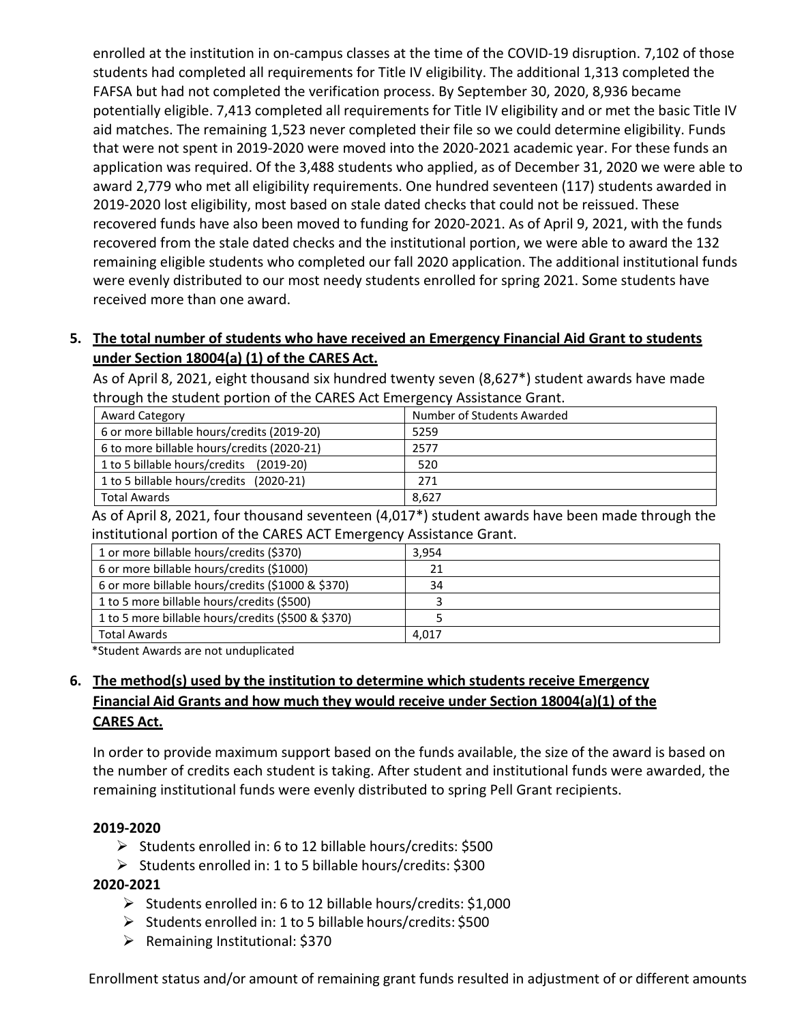enrolled at the institution in on-campus classes at the time of the COVID-19 disruption. 7,102 of those students had completed all requirements for Title IV eligibility. The additional 1,313 completed the FAFSA but had not completed the verification process. By September 30, 2020, 8,936 became potentially eligible. 7,413 completed all requirements for Title IV eligibility and or met the basic Title IV aid matches. The remaining 1,523 never completed their file so we could determine eligibility. Funds that were not spent in 2019-2020 were moved into the 2020-2021 academic year. For these funds an application was required. Of the 3,488 students who applied, as of December 31, 2020 we were able to award 2,779 who met all eligibility requirements. One hundred seventeen (117) students awarded in 2019-2020 lost eligibility, most based on stale dated checks that could not be reissued. These recovered funds have also been moved to funding for 2020-2021. As of April 9, 2021, with the funds recovered from the stale dated checks and the institutional portion, we were able to award the 132 remaining eligible students who completed our fall 2020 application. The additional institutional funds were evenly distributed to our most needy students enrolled for spring 2021. Some students have received more than one award.

## **5. The total number of students who have received an Emergency Financial Aid Grant to students under Section 18004(a) (1) of the CARES Act.**

As of April 8, 2021, eight thousand six hundred twenty seven (8,627\*) student awards have made through the student portion of the CARES Act Emergency Assistance Grant.

| <b>Award Category</b>                      | Number of Students Awarded |
|--------------------------------------------|----------------------------|
| 6 or more billable hours/credits (2019-20) | 5259                       |
| 6 to more billable hours/credits (2020-21) | 2577                       |
| 1 to 5 billable hours/credits (2019-20)    | 520                        |
| 1 to 5 billable hours/credits (2020-21)    | 271                        |
| <b>Total Awards</b>                        | 8,627                      |

As of April 8, 2021, four thousand seventeen (4,017\*) student awards have been made through the institutional portion of the CARES ACT Emergency Assistance Grant.

| 1 or more billable hours/credits (\$370)           | 3,954 |
|----------------------------------------------------|-------|
| 6 or more billable hours/credits (\$1000)          |       |
| 6 or more billable hours/credits (\$1000 & \$370)  | 34    |
| 1 to 5 more billable hours/credits (\$500)         |       |
| 1 to 5 more billable hours/credits (\$500 & \$370) |       |
| <b>Total Awards</b>                                | 4,017 |

\*Student Awards are not unduplicated

# **6. The method(s) used by the institution to determine which students receive Emergency Financial Aid Grants and how much they would receive under Section 18004(a)(1) of the CARES Act.**

In order to provide maximum support based on the funds available, the size of the award is based on the number of credits each student is taking. After student and institutional funds were awarded, the remaining institutional funds were evenly distributed to spring Pell Grant recipients.

#### **2019-2020**

- $\triangleright$  Students enrolled in: 6 to 12 billable hours/credits: \$500
- $\triangleright$  Students enrolled in: 1 to 5 billable hours/credits: \$300

#### **2020-2021**

- $\triangleright$  Students enrolled in: 6 to 12 billable hours/credits: \$1,000
- $\triangleright$  Students enrolled in: 1 to 5 billable hours/credits: \$500
- $\triangleright$  Remaining Institutional: \$370

Enrollment status and/or amount of remaining grant funds resulted in adjustment of or different amounts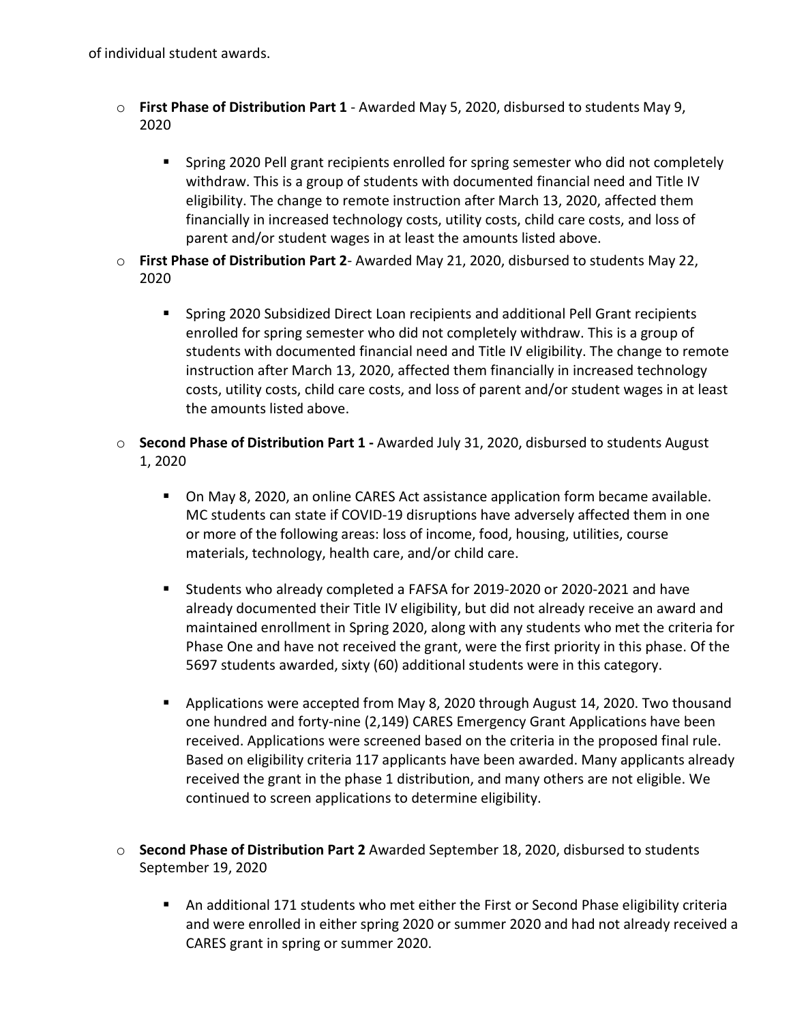of individual student awards.

- o **First Phase of Distribution Part 1** Awarded May 5, 2020, disbursed to students May 9, 2020
	- **Spring 2020 Pell grant recipients enrolled for spring semester who did not completely** withdraw. This is a group of students with documented financial need and Title IV eligibility. The change to remote instruction after March 13, 2020, affected them financially in increased technology costs, utility costs, child care costs, and loss of parent and/or student wages in at least the amounts listed above.
- o **First Phase of Distribution Part 2** Awarded May 21, 2020, disbursed to students May 22, 2020
	- Spring 2020 Subsidized Direct Loan recipients and additional Pell Grant recipients enrolled for spring semester who did not completely withdraw. This is a group of students with documented financial need and Title IV eligibility. The change to remote instruction after March 13, 2020, affected them financially in increased technology costs, utility costs, child care costs, and loss of parent and/or student wages in at least the amounts listed above.
- o **Second Phase of Distribution Part 1 -** Awarded July 31, 2020, disbursed to students August 1, 2020
	- On May 8, 2020, an online CARES Act assistance application form became available. MC students can state if COVID-19 disruptions have adversely affected them in one or more of the following areas: loss of income, food, housing, utilities, course materials, technology, health care, and/or child care.
	- Students who already completed a FAFSA for 2019-2020 or 2020-2021 and have already documented their Title IV eligibility, but did not already receive an award and maintained enrollment in Spring 2020, along with any students who met the criteria for Phase One and have not received the grant, were the first priority in this phase. Of the 5697 students awarded, sixty (60) additional students were in this category.
	- **Applications were accepted from May 8, 2020 through August 14, 2020. Two thousand** one hundred and forty-nine (2,149) CARES Emergency Grant Applications have been received. Applications were screened based on the criteria in the proposed final rule. Based on eligibility criteria 117 applicants have been awarded. Many applicants already received the grant in the phase 1 distribution, and many others are not eligible. We continued to screen applications to determine eligibility.
- o **Second Phase of Distribution Part 2** Awarded September 18, 2020, disbursed to students September 19, 2020
	- An additional 171 students who met either the First or Second Phase eligibility criteria and were enrolled in either spring 2020 or summer 2020 and had not already received a CARES grant in spring or summer 2020.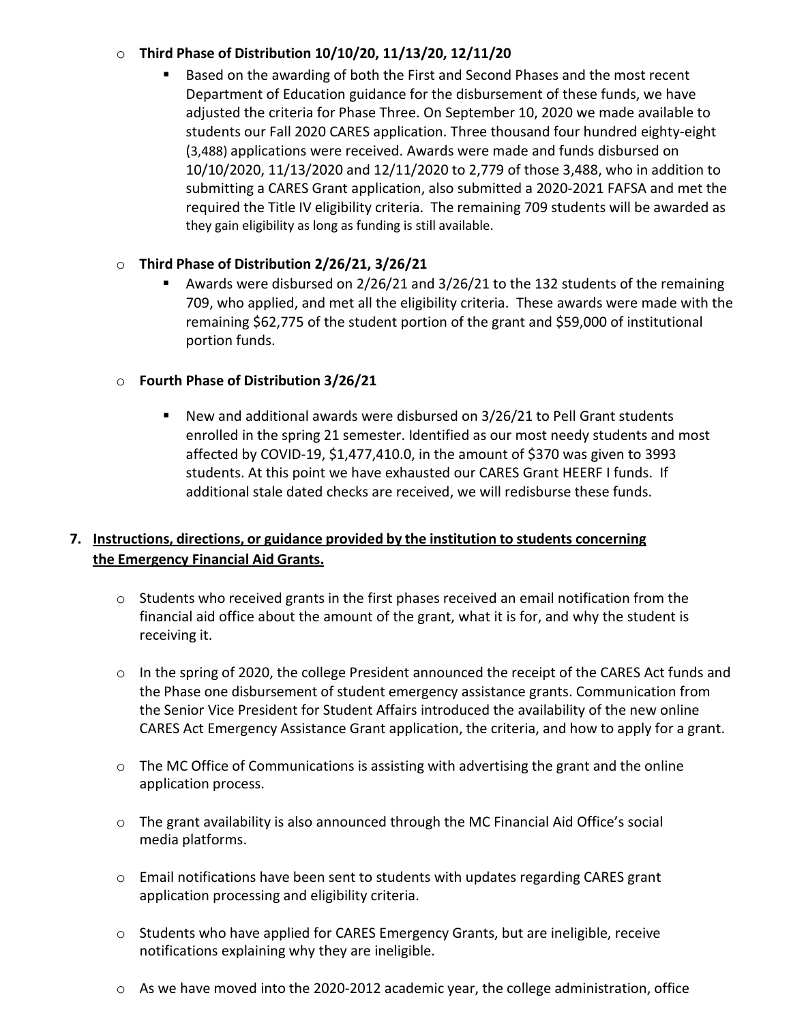#### o **Third Phase of Distribution 10/10/20, 11/13/20, 12/11/20**

 Based on the awarding of both the First and Second Phases and the most recent Department of Education guidance for the disbursement of these funds, we have adjusted the criteria for Phase Three. On September 10, 2020 we made available to students our Fall 2020 CARES application. Three thousand four hundred eighty-eight (3,488) applications were received. Awards were made and funds disbursed on 10/10/2020, 11/13/2020 and 12/11/2020 to 2,779 of those 3,488, who in addition to submitting a CARES Grant application, also submitted a 2020-2021 FAFSA and met the required the Title IV eligibility criteria. The remaining 709 students will be awarded as they gain eligibility as long as funding is still available.

## o **Third Phase of Distribution 2/26/21, 3/26/21**

 Awards were disbursed on 2/26/21 and 3/26/21 to the 132 students of the remaining 709, who applied, and met all the eligibility criteria. These awards were made with the remaining \$62,775 of the student portion of the grant and \$59,000 of institutional portion funds.

## o **Fourth Phase of Distribution 3/26/21**

 New and additional awards were disbursed on 3/26/21 to Pell Grant students enrolled in the spring 21 semester. Identified as our most needy students and most affected by COVID-19, \$1,477,410.0, in the amount of \$370 was given to 3993 students. At this point we have exhausted our CARES Grant HEERF I funds. If additional stale dated checks are received, we will redisburse these funds.

# **7. Instructions, directions, or guidance provided by the institution to students concerning the Emergency Financial Aid Grants.**

- $\circ$  Students who received grants in the first phases received an email notification from the financial aid office about the amount of the grant, what it is for, and why the student is receiving it.
- $\circ$  In the spring of 2020, the college President announced the receipt of the CARES Act funds and the Phase one disbursement of student emergency assistance grants. Communication from the Senior Vice President for Student Affairs introduced the availability of the new online CARES Act Emergency Assistance Grant application, the criteria, and how to apply for a grant.
- o The MC Office of Communications is assisting with advertising the grant and the online application process.
- $\circ$  The grant availability is also announced through the MC Financial Aid Office's social media platforms.
- o Email notifications have been sent to students with updates regarding CARES grant application processing and eligibility criteria.
- $\circ$  Students who have applied for CARES Emergency Grants, but are ineligible, receive notifications explaining why they are ineligible.
- $\circ$  As we have moved into the 2020-2012 academic year, the college administration, office